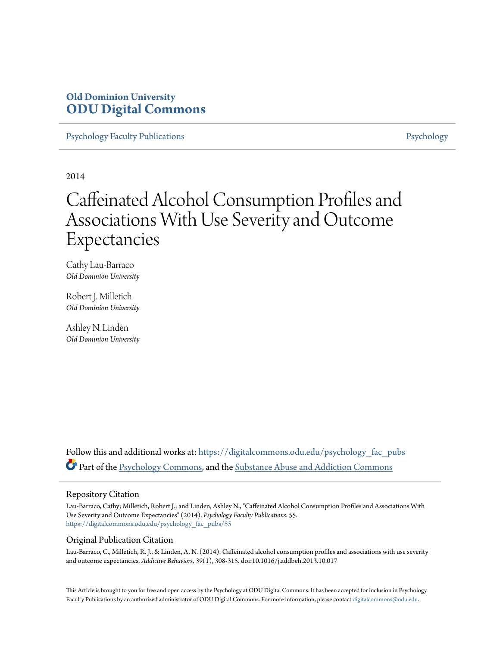### **Old Dominion University [ODU Digital Commons](https://digitalcommons.odu.edu?utm_source=digitalcommons.odu.edu%2Fpsychology_fac_pubs%2F55&utm_medium=PDF&utm_campaign=PDFCoverPages)**

[Psychology Faculty Publications](https://digitalcommons.odu.edu/psychology_fac_pubs?utm_source=digitalcommons.odu.edu%2Fpsychology_fac_pubs%2F55&utm_medium=PDF&utm_campaign=PDFCoverPages) **[Psychology](https://digitalcommons.odu.edu/psychology?utm_source=digitalcommons.odu.edu%2Fpsychology_fac_pubs%2F55&utm_medium=PDF&utm_campaign=PDFCoverPages)** Psychology

2014

## Caffeinated Alcohol Consumption Profiles and Associations With Use Severity and Outcome Expectancies

Cathy Lau-Barraco *Old Dominion University*

Robert J. Milletich *Old Dominion University*

Ashley N. Linden *Old Dominion University*

Follow this and additional works at: [https://digitalcommons.odu.edu/psychology\\_fac\\_pubs](https://digitalcommons.odu.edu/psychology_fac_pubs?utm_source=digitalcommons.odu.edu%2Fpsychology_fac_pubs%2F55&utm_medium=PDF&utm_campaign=PDFCoverPages) Part of the [Psychology Commons](http://network.bepress.com/hgg/discipline/404?utm_source=digitalcommons.odu.edu%2Fpsychology_fac_pubs%2F55&utm_medium=PDF&utm_campaign=PDFCoverPages), and the [Substance Abuse and Addiction Commons](http://network.bepress.com/hgg/discipline/710?utm_source=digitalcommons.odu.edu%2Fpsychology_fac_pubs%2F55&utm_medium=PDF&utm_campaign=PDFCoverPages)

#### Repository Citation

Lau-Barraco, Cathy; Milletich, Robert J.; and Linden, Ashley N., "Caffeinated Alcohol Consumption Profiles and Associations With Use Severity and Outcome Expectancies" (2014). *Psychology Faculty Publications*. 55. [https://digitalcommons.odu.edu/psychology\\_fac\\_pubs/55](https://digitalcommons.odu.edu/psychology_fac_pubs/55?utm_source=digitalcommons.odu.edu%2Fpsychology_fac_pubs%2F55&utm_medium=PDF&utm_campaign=PDFCoverPages)

#### Original Publication Citation

Lau-Barraco, C., Milletich, R. J., & Linden, A. N. (2014). Caffeinated alcohol consumption profiles and associations with use severity and outcome expectancies. *Addictive Behaviors, 39*(1), 308-315. doi:10.1016/j.addbeh.2013.10.017

This Article is brought to you for free and open access by the Psychology at ODU Digital Commons. It has been accepted for inclusion in Psychology Faculty Publications by an authorized administrator of ODU Digital Commons. For more information, please contact [digitalcommons@odu.edu.](mailto:digitalcommons@odu.edu)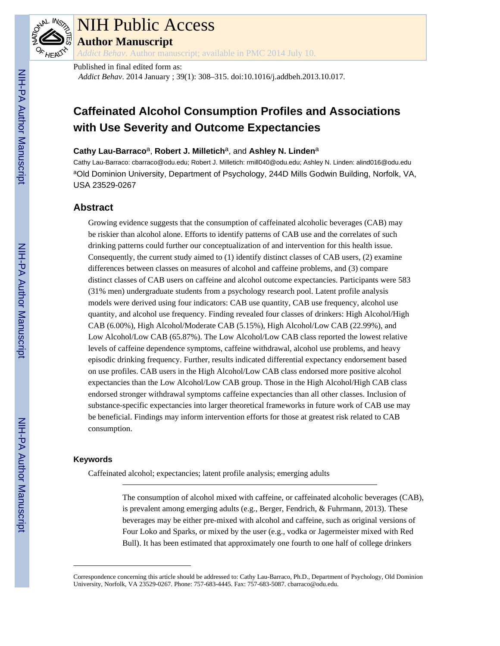

## NIH Public Access

**Author Manuscript**

*Addict Behav*. Author manuscript; available in PMC 2014 July 10.

#### Published in final edited form as:

*Addict Behav*. 2014 January ; 39(1): 308–315. doi:10.1016/j.addbeh.2013.10.017.

### **Caffeinated Alcohol Consumption Profiles and Associations with Use Severity and Outcome Expectancies**

#### **Cathy Lau-Barraco**a, **Robert J. Milletich**a, and **Ashley N. Linden**<sup>a</sup>

Cathy Lau-Barraco: cbarraco@odu.edu; Robert J. Milletich: rmill040@odu.edu; Ashley N. Linden: alind016@odu.edu aOld Dominion University, Department of Psychology, 244D Mills Godwin Building, Norfolk, VA, USA 23529-0267

#### **Abstract**

Growing evidence suggests that the consumption of caffeinated alcoholic beverages (CAB) may be riskier than alcohol alone. Efforts to identify patterns of CAB use and the correlates of such drinking patterns could further our conceptualization of and intervention for this health issue. Consequently, the current study aimed to (1) identify distinct classes of CAB users, (2) examine differences between classes on measures of alcohol and caffeine problems, and (3) compare distinct classes of CAB users on caffeine and alcohol outcome expectancies. Participants were 583 (31% men) undergraduate students from a psychology research pool. Latent profile analysis models were derived using four indicators: CAB use quantity, CAB use frequency, alcohol use quantity, and alcohol use frequency. Finding revealed four classes of drinkers: High Alcohol/High CAB (6.00%), High Alcohol/Moderate CAB (5.15%), High Alcohol/Low CAB (22.99%), and Low Alcohol/Low CAB (65.87%). The Low Alcohol/Low CAB class reported the lowest relative levels of caffeine dependence symptoms, caffeine withdrawal, alcohol use problems, and heavy episodic drinking frequency. Further, results indicated differential expectancy endorsement based on use profiles. CAB users in the High Alcohol/Low CAB class endorsed more positive alcohol expectancies than the Low Alcohol/Low CAB group. Those in the High Alcohol/High CAB class endorsed stronger withdrawal symptoms caffeine expectancies than all other classes. Inclusion of substance-specific expectancies into larger theoretical frameworks in future work of CAB use may be beneficial. Findings may inform intervention efforts for those at greatest risk related to CAB consumption.

#### **Keywords**

Caffeinated alcohol; expectancies; latent profile analysis; emerging adults

The consumption of alcohol mixed with caffeine, or caffeinated alcoholic beverages (CAB), is prevalent among emerging adults (e.g., Berger, Fendrich, & Fuhrmann, 2013). These beverages may be either pre-mixed with alcohol and caffeine, such as original versions of Four Loko and Sparks, or mixed by the user (e.g., vodka or Jagermeister mixed with Red Bull). It has been estimated that approximately one fourth to one half of college drinkers

Correspondence concerning this article should be addressed to: Cathy Lau-Barraco, Ph.D., Department of Psychology, Old Dominion University, Norfolk, VA 23529-0267. Phone: 757-683-4445. Fax: 757-683-5087. cbarraco@odu.edu.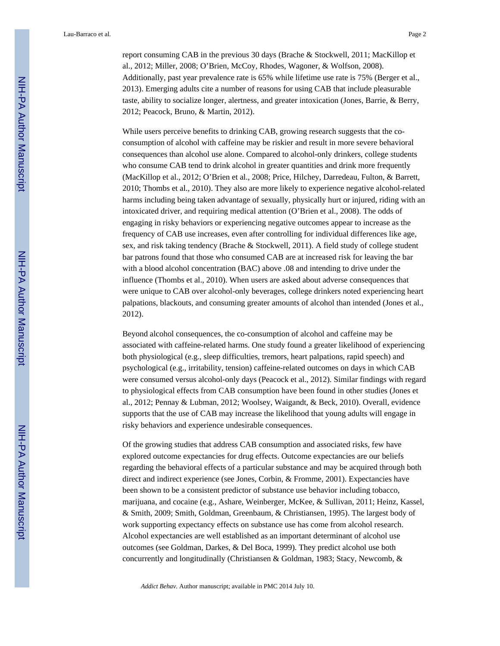report consuming CAB in the previous 30 days (Brache & Stockwell, 2011; MacKillop et al., 2012; Miller, 2008; O'Brien, McCoy, Rhodes, Wagoner, & Wolfson, 2008). Additionally, past year prevalence rate is 65% while lifetime use rate is 75% (Berger et al., 2013). Emerging adults cite a number of reasons for using CAB that include pleasurable taste, ability to socialize longer, alertness, and greater intoxication (Jones, Barrie, & Berry, 2012; Peacock, Bruno, & Martin, 2012).

While users perceive benefits to drinking CAB, growing research suggests that the coconsumption of alcohol with caffeine may be riskier and result in more severe behavioral consequences than alcohol use alone. Compared to alcohol-only drinkers, college students who consume CAB tend to drink alcohol in greater quantities and drink more frequently (MacKillop et al., 2012; O'Brien et al., 2008; Price, Hilchey, Darredeau, Fulton, & Barrett, 2010; Thombs et al., 2010). They also are more likely to experience negative alcohol-related harms including being taken advantage of sexually, physically hurt or injured, riding with an intoxicated driver, and requiring medical attention (O'Brien et al., 2008). The odds of engaging in risky behaviors or experiencing negative outcomes appear to increase as the frequency of CAB use increases, even after controlling for individual differences like age, sex, and risk taking tendency (Brache & Stockwell, 2011). A field study of college student bar patrons found that those who consumed CAB are at increased risk for leaving the bar with a blood alcohol concentration (BAC) above .08 and intending to drive under the influence (Thombs et al., 2010). When users are asked about adverse consequences that were unique to CAB over alcohol-only beverages, college drinkers noted experiencing heart palpations, blackouts, and consuming greater amounts of alcohol than intended (Jones et al., 2012).

Beyond alcohol consequences, the co-consumption of alcohol and caffeine may be associated with caffeine-related harms. One study found a greater likelihood of experiencing both physiological (e.g., sleep difficulties, tremors, heart palpations, rapid speech) and psychological (e.g., irritability, tension) caffeine-related outcomes on days in which CAB were consumed versus alcohol-only days (Peacock et al., 2012). Similar findings with regard to physiological effects from CAB consumption have been found in other studies (Jones et al., 2012; Pennay & Lubman, 2012; Woolsey, Waigandt, & Beck, 2010). Overall, evidence supports that the use of CAB may increase the likelihood that young adults will engage in risky behaviors and experience undesirable consequences.

Of the growing studies that address CAB consumption and associated risks, few have explored outcome expectancies for drug effects. Outcome expectancies are our beliefs regarding the behavioral effects of a particular substance and may be acquired through both direct and indirect experience (see Jones, Corbin, & Fromme, 2001). Expectancies have been shown to be a consistent predictor of substance use behavior including tobacco, marijuana, and cocaine (e.g., Ashare, Weinberger, McKee, & Sullivan, 2011; Heinz, Kassel, & Smith, 2009; Smith, Goldman, Greenbaum, & Christiansen, 1995). The largest body of work supporting expectancy effects on substance use has come from alcohol research. Alcohol expectancies are well established as an important determinant of alcohol use outcomes (see Goldman, Darkes, & Del Boca, 1999). They predict alcohol use both concurrently and longitudinally (Christiansen & Goldman, 1983; Stacy, Newcomb, &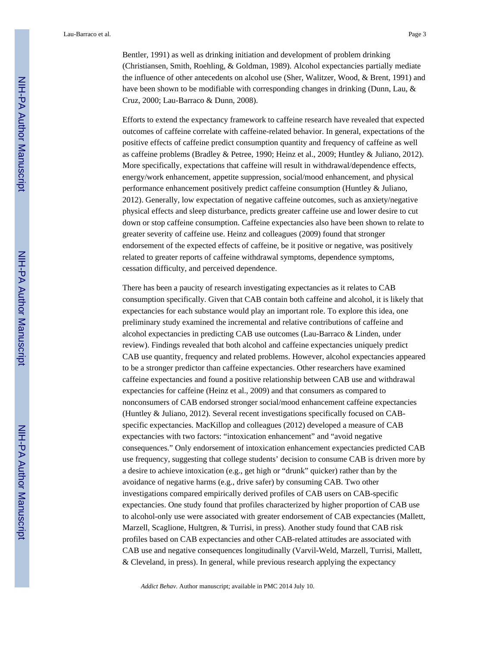Bentler, 1991) as well as drinking initiation and development of problem drinking (Christiansen, Smith, Roehling, & Goldman, 1989). Alcohol expectancies partially mediate the influence of other antecedents on alcohol use (Sher, Walitzer, Wood, & Brent, 1991) and have been shown to be modifiable with corresponding changes in drinking (Dunn, Lau, & Cruz, 2000; Lau-Barraco & Dunn, 2008).

Efforts to extend the expectancy framework to caffeine research have revealed that expected outcomes of caffeine correlate with caffeine-related behavior. In general, expectations of the positive effects of caffeine predict consumption quantity and frequency of caffeine as well as caffeine problems (Bradley & Petree, 1990; Heinz et al., 2009; Huntley & Juliano, 2012). More specifically, expectations that caffeine will result in withdrawal/dependence effects, energy/work enhancement, appetite suppression, social/mood enhancement, and physical performance enhancement positively predict caffeine consumption (Huntley & Juliano, 2012). Generally, low expectation of negative caffeine outcomes, such as anxiety/negative physical effects and sleep disturbance, predicts greater caffeine use and lower desire to cut down or stop caffeine consumption. Caffeine expectancies also have been shown to relate to greater severity of caffeine use. Heinz and colleagues (2009) found that stronger endorsement of the expected effects of caffeine, be it positive or negative, was positively related to greater reports of caffeine withdrawal symptoms, dependence symptoms, cessation difficulty, and perceived dependence.

There has been a paucity of research investigating expectancies as it relates to CAB consumption specifically. Given that CAB contain both caffeine and alcohol, it is likely that expectancies for each substance would play an important role. To explore this idea, one preliminary study examined the incremental and relative contributions of caffeine and alcohol expectancies in predicting CAB use outcomes (Lau-Barraco & Linden, under review). Findings revealed that both alcohol and caffeine expectancies uniquely predict CAB use quantity, frequency and related problems. However, alcohol expectancies appeared to be a stronger predictor than caffeine expectancies. Other researchers have examined caffeine expectancies and found a positive relationship between CAB use and withdrawal expectancies for caffeine (Heinz et al., 2009) and that consumers as compared to nonconsumers of CAB endorsed stronger social/mood enhancement caffeine expectancies (Huntley & Juliano, 2012). Several recent investigations specifically focused on CABspecific expectancies. MacKillop and colleagues (2012) developed a measure of CAB expectancies with two factors: "intoxication enhancement" and "avoid negative consequences." Only endorsement of intoxication enhancement expectancies predicted CAB use frequency, suggesting that college students' decision to consume CAB is driven more by a desire to achieve intoxication (e.g., get high or "drunk" quicker) rather than by the avoidance of negative harms (e.g., drive safer) by consuming CAB. Two other investigations compared empirically derived profiles of CAB users on CAB-specific expectancies. One study found that profiles characterized by higher proportion of CAB use to alcohol-only use were associated with greater endorsement of CAB expectancies (Mallett, Marzell, Scaglione, Hultgren, & Turrisi, in press). Another study found that CAB risk profiles based on CAB expectancies and other CAB-related attitudes are associated with CAB use and negative consequences longitudinally (Varvil-Weld, Marzell, Turrisi, Mallett, & Cleveland, in press). In general, while previous research applying the expectancy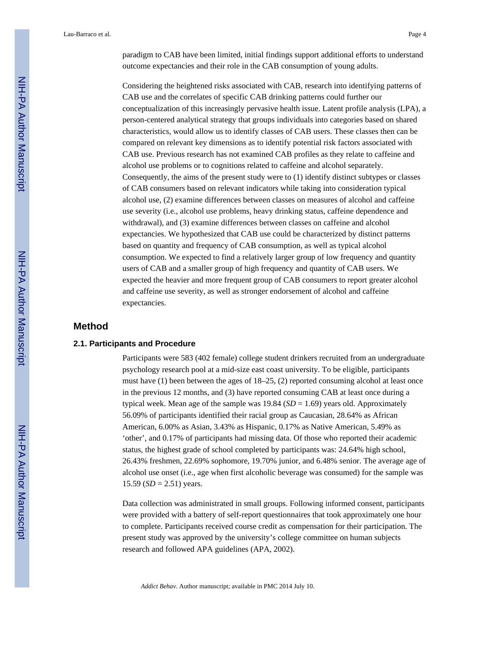paradigm to CAB have been limited, initial findings support additional efforts to understand outcome expectancies and their role in the CAB consumption of young adults.

Considering the heightened risks associated with CAB, research into identifying patterns of CAB use and the correlates of specific CAB drinking patterns could further our conceptualization of this increasingly pervasive health issue. Latent profile analysis (LPA), a person-centered analytical strategy that groups individuals into categories based on shared characteristics, would allow us to identify classes of CAB users. These classes then can be compared on relevant key dimensions as to identify potential risk factors associated with CAB use. Previous research has not examined CAB profiles as they relate to caffeine and alcohol use problems or to cognitions related to caffeine and alcohol separately. Consequently, the aims of the present study were to (1) identify distinct subtypes or classes of CAB consumers based on relevant indicators while taking into consideration typical alcohol use, (2) examine differences between classes on measures of alcohol and caffeine use severity (i.e., alcohol use problems, heavy drinking status, caffeine dependence and withdrawal), and (3) examine differences between classes on caffeine and alcohol expectancies. We hypothesized that CAB use could be characterized by distinct patterns based on quantity and frequency of CAB consumption, as well as typical alcohol consumption. We expected to find a relatively larger group of low frequency and quantity users of CAB and a smaller group of high frequency and quantity of CAB users. We expected the heavier and more frequent group of CAB consumers to report greater alcohol and caffeine use severity, as well as stronger endorsement of alcohol and caffeine expectancies.

#### **Method**

#### **2.1. Participants and Procedure**

Participants were 583 (402 female) college student drinkers recruited from an undergraduate psychology research pool at a mid-size east coast university. To be eligible, participants must have (1) been between the ages of 18–25, (2) reported consuming alcohol at least once in the previous 12 months, and (3) have reported consuming CAB at least once during a typical week. Mean age of the sample was  $19.84$  (*SD* = 1.69) years old. Approximately 56.09% of participants identified their racial group as Caucasian, 28.64% as African American, 6.00% as Asian, 3.43% as Hispanic, 0.17% as Native American, 5.49% as 'other', and 0.17% of participants had missing data. Of those who reported their academic status, the highest grade of school completed by participants was: 24.64% high school, 26.43% freshmen, 22.69% sophomore, 19.70% junior, and 6.48% senior. The average age of alcohol use onset (i.e., age when first alcoholic beverage was consumed) for the sample was 15.59 ( $SD = 2.51$ ) years.

Data collection was administrated in small groups. Following informed consent, participants were provided with a battery of self-report questionnaires that took approximately one hour to complete. Participants received course credit as compensation for their participation. The present study was approved by the university's college committee on human subjects research and followed APA guidelines (APA, 2002).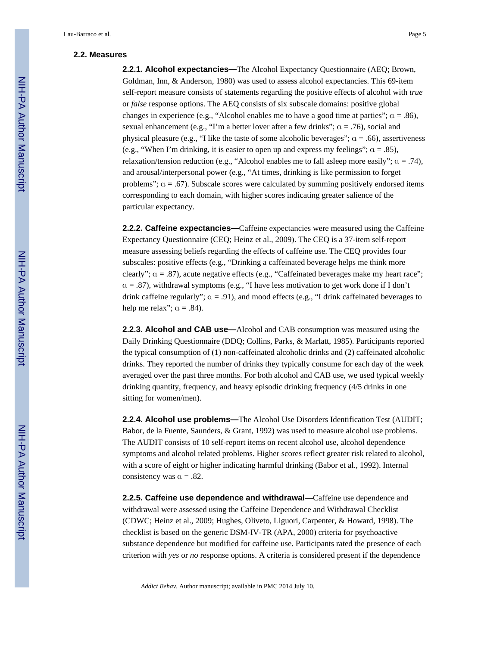#### **2.2. Measures**

**2.2.1. Alcohol expectancies—**The Alcohol Expectancy Questionnaire (AEQ; Brown, Goldman, Inn, & Anderson, 1980) was used to assess alcohol expectancies. This 69-item self-report measure consists of statements regarding the positive effects of alcohol with *true* or *false* response options. The AEQ consists of six subscale domains: positive global changes in experience (e.g., "Alcohol enables me to have a good time at parties";  $\alpha = .86$ ), sexual enhancement (e.g., "I'm a better lover after a few drinks";  $\alpha = .76$ ), social and physical pleasure (e.g., "I like the taste of some alcoholic beverages";  $\alpha = .66$ ), assertiveness (e.g., "When I'm drinking, it is easier to open up and express my feelings";  $\alpha = .85$ ), relaxation/tension reduction (e.g., "Alcohol enables me to fall asleep more easily";  $\alpha = .74$ ), and arousal/interpersonal power (e.g., "At times, drinking is like permission to forget problems";  $\alpha = .67$ ). Subscale scores were calculated by summing positively endorsed items corresponding to each domain, with higher scores indicating greater salience of the particular expectancy.

**2.2.2. Caffeine expectancies—**Caffeine expectancies were measured using the Caffeine Expectancy Questionnaire (CEQ; Heinz et al., 2009). The CEQ is a 37-item self-report measure assessing beliefs regarding the effects of caffeine use. The CEQ provides four subscales: positive effects (e.g., "Drinking a caffeinated beverage helps me think more clearly";  $\alpha = .87$ ), acute negative effects (e.g., "Caffeinated beverages make my heart race";  $\alpha = .87$ ), withdrawal symptoms (e.g., "I have less motivation to get work done if I don't drink caffeine regularly";  $\alpha = .91$ ), and mood effects (e.g., "I drink caffeinated beverages to help me relax";  $\alpha = .84$ ).

**2.2.3. Alcohol and CAB use—**Alcohol and CAB consumption was measured using the Daily Drinking Questionnaire (DDQ; Collins, Parks, & Marlatt, 1985). Participants reported the typical consumption of (1) non-caffeinated alcoholic drinks and (2) caffeinated alcoholic drinks. They reported the number of drinks they typically consume for each day of the week averaged over the past three months. For both alcohol and CAB use, we used typical weekly drinking quantity, frequency, and heavy episodic drinking frequency (4/5 drinks in one sitting for women/men).

**2.2.4. Alcohol use problems—**The Alcohol Use Disorders Identification Test (AUDIT; Babor, de la Fuente, Saunders, & Grant, 1992) was used to measure alcohol use problems. The AUDIT consists of 10 self-report items on recent alcohol use, alcohol dependence symptoms and alcohol related problems. Higher scores reflect greater risk related to alcohol, with a score of eight or higher indicating harmful drinking (Babor et al., 1992). Internal consistency was  $\alpha = .82$ .

**2.2.5. Caffeine use dependence and withdrawal—**Caffeine use dependence and withdrawal were assessed using the Caffeine Dependence and Withdrawal Checklist (CDWC; Heinz et al., 2009; Hughes, Oliveto, Liguori, Carpenter, & Howard, 1998). The checklist is based on the generic DSM-IV-TR (APA, 2000) criteria for psychoactive substance dependence but modified for caffeine use. Participants rated the presence of each criterion with *yes* or *no* response options. A criteria is considered present if the dependence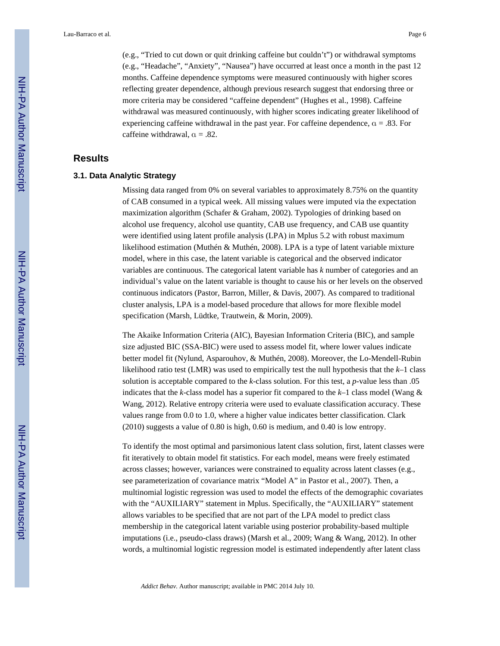Lau-Barraco et al. Page 6

(e.g., "Tried to cut down or quit drinking caffeine but couldn't") or withdrawal symptoms (e.g., "Headache", "Anxiety", "Nausea") have occurred at least once a month in the past 12 months. Caffeine dependence symptoms were measured continuously with higher scores reflecting greater dependence, although previous research suggest that endorsing three or more criteria may be considered "caffeine dependent" (Hughes et al., 1998). Caffeine withdrawal was measured continuously, with higher scores indicating greater likelihood of experiencing caffeine withdrawal in the past year. For caffeine dependence,  $\alpha = .83$ . For caffeine withdrawal,  $\alpha = .82$ .

#### **Results**

#### **3.1. Data Analytic Strategy**

Missing data ranged from 0% on several variables to approximately 8.75% on the quantity of CAB consumed in a typical week. All missing values were imputed via the expectation maximization algorithm (Schafer & Graham, 2002). Typologies of drinking based on alcohol use frequency, alcohol use quantity, CAB use frequency, and CAB use quantity were identified using latent profile analysis (LPA) in Mplus 5.2 with robust maximum likelihood estimation (Muthén & Muthén, 2008). LPA is a type of latent variable mixture model, where in this case, the latent variable is categorical and the observed indicator variables are continuous. The categorical latent variable has *k* number of categories and an individual's value on the latent variable is thought to cause his or her levels on the observed continuous indicators (Pastor, Barron, Miller, & Davis, 2007). As compared to traditional cluster analysis, LPA is a model-based procedure that allows for more flexible model specification (Marsh, Lüdtke, Trautwein, & Morin, 2009).

The Akaike Information Criteria (AIC), Bayesian Information Criteria (BIC), and sample size adjusted BIC (SSA-BIC) were used to assess model fit, where lower values indicate better model fit (Nylund, Asparouhov, & Muthén, 2008). Moreover, the Lo-Mendell-Rubin likelihood ratio test (LMR) was used to empirically test the null hypothesis that the *k*–1 class solution is acceptable compared to the *k*-class solution. For this test, a *p*-value less than .05 indicates that the *k*-class model has a superior fit compared to the *k*–1 class model (Wang & Wang, 2012). Relative entropy criteria were used to evaluate classification accuracy. These values range from 0.0 to 1.0, where a higher value indicates better classification. Clark (2010) suggests a value of 0.80 is high, 0.60 is medium, and 0.40 is low entropy.

To identify the most optimal and parsimonious latent class solution, first, latent classes were fit iteratively to obtain model fit statistics. For each model, means were freely estimated across classes; however, variances were constrained to equality across latent classes (e.g., see parameterization of covariance matrix "Model A" in Pastor et al., 2007). Then, a multinomial logistic regression was used to model the effects of the demographic covariates with the "AUXILIARY" statement in Mplus. Specifically, the "AUXILIARY" statement allows variables to be specified that are not part of the LPA model to predict class membership in the categorical latent variable using posterior probability-based multiple imputations (i.e., pseudo-class draws) (Marsh et al., 2009; Wang & Wang, 2012). In other words, a multinomial logistic regression model is estimated independently after latent class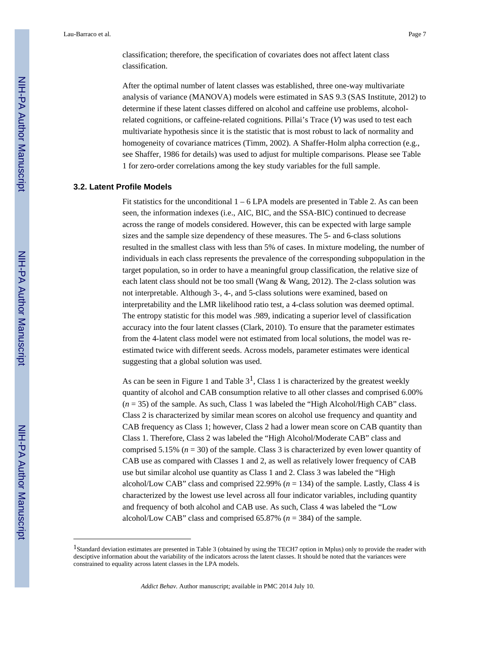Lau-Barraco et al. Page 7

classification; therefore, the specification of covariates does not affect latent class classification.

After the optimal number of latent classes was established, three one-way multivariate analysis of variance (MANOVA) models were estimated in SAS 9.3 (SAS Institute, 2012) to determine if these latent classes differed on alcohol and caffeine use problems, alcoholrelated cognitions, or caffeine-related cognitions. Pillai's Trace (*V*) was used to test each multivariate hypothesis since it is the statistic that is most robust to lack of normality and homogeneity of covariance matrices (Timm, 2002). A Shaffer-Holm alpha correction (e.g., see Shaffer, 1986 for details) was used to adjust for multiple comparisons. Please see Table 1 for zero-order correlations among the key study variables for the full sample.

#### **3.2. Latent Profile Models**

Fit statistics for the unconditional  $1 - 6$  LPA models are presented in Table 2. As can been seen, the information indexes (i.e., AIC, BIC, and the SSA-BIC) continued to decrease across the range of models considered. However, this can be expected with large sample sizes and the sample size dependency of these measures. The 5- and 6-class solutions resulted in the smallest class with less than 5% of cases. In mixture modeling, the number of individuals in each class represents the prevalence of the corresponding subpopulation in the target population, so in order to have a meaningful group classification, the relative size of each latent class should not be too small (Wang  $\&$  Wang, 2012). The 2-class solution was not interpretable. Although 3-, 4-, and 5-class solutions were examined, based on interpretability and the LMR likelihood ratio test, a 4-class solution was deemed optimal. The entropy statistic for this model was .989, indicating a superior level of classification accuracy into the four latent classes (Clark, 2010). To ensure that the parameter estimates from the 4-latent class model were not estimated from local solutions, the model was reestimated twice with different seeds. Across models, parameter estimates were identical suggesting that a global solution was used.

As can be seen in Figure 1 and Table  $3<sup>1</sup>$ , Class 1 is characterized by the greatest weekly quantity of alcohol and CAB consumption relative to all other classes and comprised 6.00%  $(n = 35)$  of the sample. As such, Class 1 was labeled the "High Alcohol/High CAB" class. Class 2 is characterized by similar mean scores on alcohol use frequency and quantity and CAB frequency as Class 1; however, Class 2 had a lower mean score on CAB quantity than Class 1. Therefore, Class 2 was labeled the "High Alcohol/Moderate CAB" class and comprised 5.15%  $(n = 30)$  of the sample. Class 3 is characterized by even lower quantity of CAB use as compared with Classes 1 and 2, as well as relatively lower frequency of CAB use but similar alcohol use quantity as Class 1 and 2. Class 3 was labeled the "High alcohol/Low CAB" class and comprised 22.99% ( $n = 134$ ) of the sample. Lastly, Class 4 is characterized by the lowest use level across all four indicator variables, including quantity and frequency of both alcohol and CAB use. As such, Class 4 was labeled the "Low alcohol/Low CAB" class and comprised 65.87% (*n* = 384) of the sample.

<sup>1</sup>Standard deviation estimates are presented in Table 3 (obtained by using the TECH7 option in Mplus) only to provide the reader with desciptive information about the variability of the indicators across the latent classes. It should be noted that the variances were constrained to equality across latent classes in the LPA models.

*Addict Behav*. Author manuscript; available in PMC 2014 July 10.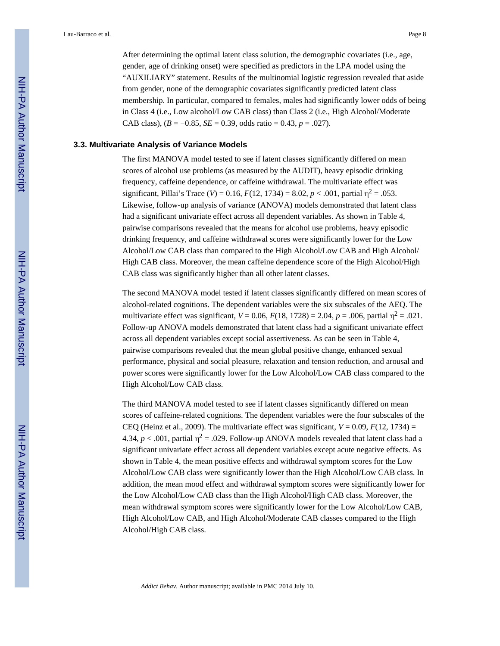After determining the optimal latent class solution, the demographic covariates (i.e., age, gender, age of drinking onset) were specified as predictors in the LPA model using the "AUXILIARY" statement. Results of the multinomial logistic regression revealed that aside from gender, none of the demographic covariates significantly predicted latent class membership. In particular, compared to females, males had significantly lower odds of being in Class 4 (i.e., Low alcohol/Low CAB class) than Class 2 (i.e., High Alcohol/Moderate CAB class),  $(B = -0.85, SE = 0.39, odds ratio = 0.43, p = .027)$ .

#### **3.3. Multivariate Analysis of Variance Models**

The first MANOVA model tested to see if latent classes significantly differed on mean scores of alcohol use problems (as measured by the AUDIT), heavy episodic drinking frequency, caffeine dependence, or caffeine withdrawal. The multivariate effect was significant, Pillai's Trace (V) = 0.16,  $F(12, 1734) = 8.02$ ,  $p < .001$ , partial  $\eta^2 = .053$ . Likewise, follow-up analysis of variance (ANOVA) models demonstrated that latent class had a significant univariate effect across all dependent variables. As shown in Table 4, pairwise comparisons revealed that the means for alcohol use problems, heavy episodic drinking frequency, and caffeine withdrawal scores were significantly lower for the Low Alcohol/Low CAB class than compared to the High Alcohol/Low CAB and High Alcohol/ High CAB class. Moreover, the mean caffeine dependence score of the High Alcohol/High CAB class was significantly higher than all other latent classes.

The second MANOVA model tested if latent classes significantly differed on mean scores of alcohol-related cognitions. The dependent variables were the six subscales of the AEQ. The multivariate effect was significant,  $V = 0.06$ ,  $F(18, 1728) = 2.04$ ,  $p = .006$ , partial  $\eta^2 = .021$ . Follow-up ANOVA models demonstrated that latent class had a significant univariate effect across all dependent variables except social assertiveness. As can be seen in Table 4, pairwise comparisons revealed that the mean global positive change, enhanced sexual performance, physical and social pleasure, relaxation and tension reduction, and arousal and power scores were significantly lower for the Low Alcohol/Low CAB class compared to the High Alcohol/Low CAB class.

The third MANOVA model tested to see if latent classes significantly differed on mean scores of caffeine-related cognitions. The dependent variables were the four subscales of the CEQ (Heinz et al., 2009). The multivariate effect was significant,  $V = 0.09$ ,  $F(12, 1734) =$ 4.34,  $p < .001$ , partial  $\eta^2 = .029$ . Follow-up ANOVA models revealed that latent class had a significant univariate effect across all dependent variables except acute negative effects. As shown in Table 4, the mean positive effects and withdrawal symptom scores for the Low Alcohol/Low CAB class were significantly lower than the High Alcohol/Low CAB class. In addition, the mean mood effect and withdrawal symptom scores were significantly lower for the Low Alcohol/Low CAB class than the High Alcohol/High CAB class. Moreover, the mean withdrawal symptom scores were significantly lower for the Low Alcohol/Low CAB, High Alcohol/Low CAB, and High Alcohol/Moderate CAB classes compared to the High Alcohol/High CAB class.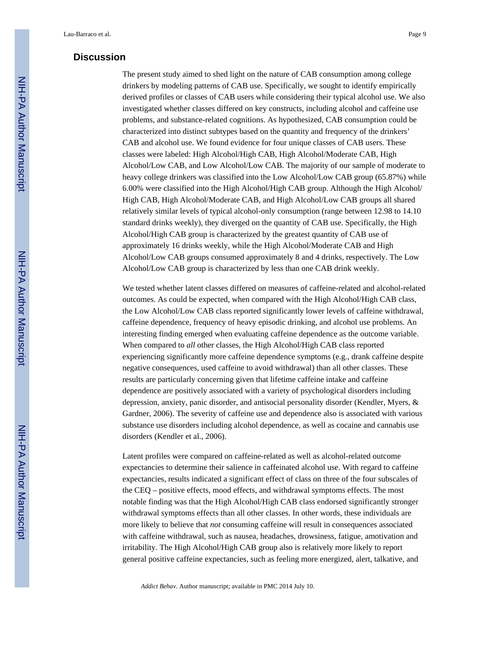#### **Discussion**

The present study aimed to shed light on the nature of CAB consumption among college drinkers by modeling patterns of CAB use. Specifically, we sought to identify empirically derived profiles or classes of CAB users while considering their typical alcohol use. We also investigated whether classes differed on key constructs, including alcohol and caffeine use problems, and substance-related cognitions. As hypothesized, CAB consumption could be characterized into distinct subtypes based on the quantity and frequency of the drinkers' CAB and alcohol use. We found evidence for four unique classes of CAB users. These classes were labeled: High Alcohol/High CAB, High Alcohol/Moderate CAB, High Alcohol/Low CAB, and Low Alcohol/Low CAB. The majority of our sample of moderate to heavy college drinkers was classified into the Low Alcohol/Low CAB group (65.87%) while 6.00% were classified into the High Alcohol/High CAB group. Although the High Alcohol/ High CAB, High Alcohol/Moderate CAB, and High Alcohol/Low CAB groups all shared relatively similar levels of typical alcohol-only consumption (range between 12.98 to 14.10 standard drinks weekly), they diverged on the quantity of CAB use. Specifically, the High Alcohol/High CAB group is characterized by the greatest quantity of CAB use of approximately 16 drinks weekly, while the High Alcohol/Moderate CAB and High Alcohol/Low CAB groups consumed approximately 8 and 4 drinks, respectively. The Low Alcohol/Low CAB group is characterized by less than one CAB drink weekly.

We tested whether latent classes differed on measures of caffeine-related and alcohol-related outcomes. As could be expected, when compared with the High Alcohol/High CAB class, the Low Alcohol/Low CAB class reported significantly lower levels of caffeine withdrawal, caffeine dependence, frequency of heavy episodic drinking, and alcohol use problems. An interesting finding emerged when evaluating caffeine dependence as the outcome variable. When compared to *all* other classes, the High Alcohol/High CAB class reported experiencing significantly more caffeine dependence symptoms (e.g., drank caffeine despite negative consequences, used caffeine to avoid withdrawal) than all other classes. These results are particularly concerning given that lifetime caffeine intake and caffeine dependence are positively associated with a variety of psychological disorders including depression, anxiety, panic disorder, and antisocial personality disorder (Kendler, Myers, & Gardner, 2006). The severity of caffeine use and dependence also is associated with various substance use disorders including alcohol dependence, as well as cocaine and cannabis use disorders (Kendler et al., 2006).

Latent profiles were compared on caffeine-related as well as alcohol-related outcome expectancies to determine their salience in caffeinated alcohol use. With regard to caffeine expectancies, results indicated a significant effect of class on three of the four subscales of the CEQ – positive effects, mood effects, and withdrawal symptoms effects. The most notable finding was that the High Alcohol/High CAB class endorsed significantly stronger withdrawal symptoms effects than all other classes. In other words, these individuals are more likely to believe that *not* consuming caffeine will result in consequences associated with caffeine withdrawal, such as nausea, headaches, drowsiness, fatigue, amotivation and irritability. The High Alcohol/High CAB group also is relatively more likely to report general positive caffeine expectancies, such as feeling more energized, alert, talkative, and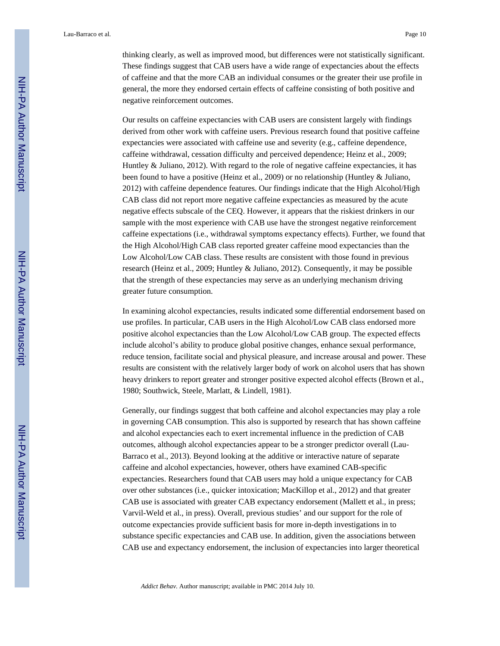thinking clearly, as well as improved mood, but differences were not statistically significant. These findings suggest that CAB users have a wide range of expectancies about the effects of caffeine and that the more CAB an individual consumes or the greater their use profile in general, the more they endorsed certain effects of caffeine consisting of both positive and negative reinforcement outcomes.

Our results on caffeine expectancies with CAB users are consistent largely with findings derived from other work with caffeine users. Previous research found that positive caffeine expectancies were associated with caffeine use and severity (e.g., caffeine dependence, caffeine withdrawal, cessation difficulty and perceived dependence; Heinz et al., 2009; Huntley  $&$  Juliano, 2012). With regard to the role of negative caffeine expectancies, it has been found to have a positive (Heinz et al., 2009) or no relationship (Huntley & Juliano, 2012) with caffeine dependence features. Our findings indicate that the High Alcohol/High CAB class did not report more negative caffeine expectancies as measured by the acute negative effects subscale of the CEQ. However, it appears that the riskiest drinkers in our sample with the most experience with CAB use have the strongest negative reinforcement caffeine expectations (i.e., withdrawal symptoms expectancy effects). Further, we found that the High Alcohol/High CAB class reported greater caffeine mood expectancies than the Low Alcohol/Low CAB class. These results are consistent with those found in previous research (Heinz et al., 2009; Huntley & Juliano, 2012). Consequently, it may be possible that the strength of these expectancies may serve as an underlying mechanism driving greater future consumption.

In examining alcohol expectancies, results indicated some differential endorsement based on use profiles. In particular, CAB users in the High Alcohol/Low CAB class endorsed more positive alcohol expectancies than the Low Alcohol/Low CAB group. The expected effects include alcohol's ability to produce global positive changes, enhance sexual performance, reduce tension, facilitate social and physical pleasure, and increase arousal and power. These results are consistent with the relatively larger body of work on alcohol users that has shown heavy drinkers to report greater and stronger positive expected alcohol effects (Brown et al., 1980; Southwick, Steele, Marlatt, & Lindell, 1981).

Generally, our findings suggest that both caffeine and alcohol expectancies may play a role in governing CAB consumption. This also is supported by research that has shown caffeine and alcohol expectancies each to exert incremental influence in the prediction of CAB outcomes, although alcohol expectancies appear to be a stronger predictor overall (Lau-Barraco et al., 2013). Beyond looking at the additive or interactive nature of separate caffeine and alcohol expectancies, however, others have examined CAB-specific expectancies. Researchers found that CAB users may hold a unique expectancy for CAB over other substances (i.e., quicker intoxication; MacKillop et al., 2012) and that greater CAB use is associated with greater CAB expectancy endorsement (Mallett et al., in press; Varvil-Weld et al., in press). Overall, previous studies' and our support for the role of outcome expectancies provide sufficient basis for more in-depth investigations in to substance specific expectancies and CAB use. In addition, given the associations between CAB use and expectancy endorsement, the inclusion of expectancies into larger theoretical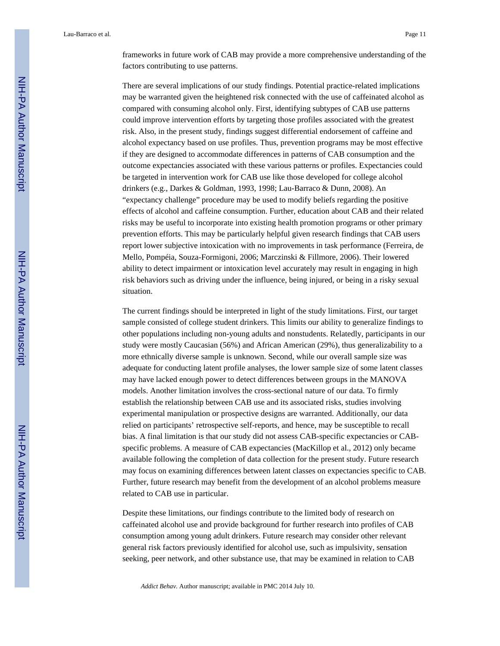frameworks in future work of CAB may provide a more comprehensive understanding of the factors contributing to use patterns.

There are several implications of our study findings. Potential practice-related implications may be warranted given the heightened risk connected with the use of caffeinated alcohol as compared with consuming alcohol only. First, identifying subtypes of CAB use patterns could improve intervention efforts by targeting those profiles associated with the greatest risk. Also, in the present study, findings suggest differential endorsement of caffeine and alcohol expectancy based on use profiles. Thus, prevention programs may be most effective if they are designed to accommodate differences in patterns of CAB consumption and the outcome expectancies associated with these various patterns or profiles. Expectancies could be targeted in intervention work for CAB use like those developed for college alcohol drinkers (e.g., Darkes & Goldman, 1993, 1998; Lau-Barraco & Dunn, 2008). An "expectancy challenge" procedure may be used to modify beliefs regarding the positive effects of alcohol and caffeine consumption. Further, education about CAB and their related risks may be useful to incorporate into existing health promotion programs or other primary prevention efforts. This may be particularly helpful given research findings that CAB users report lower subjective intoxication with no improvements in task performance (Ferreira, de Mello, Pompéia, Souza-Formigoni, 2006; Marczinski & Fillmore, 2006). Their lowered ability to detect impairment or intoxication level accurately may result in engaging in high risk behaviors such as driving under the influence, being injured, or being in a risky sexual situation.

The current findings should be interpreted in light of the study limitations. First, our target sample consisted of college student drinkers. This limits our ability to generalize findings to other populations including non-young adults and nonstudents. Relatedly, participants in our study were mostly Caucasian (56%) and African American (29%), thus generalizability to a more ethnically diverse sample is unknown. Second, while our overall sample size was adequate for conducting latent profile analyses, the lower sample size of some latent classes may have lacked enough power to detect differences between groups in the MANOVA models. Another limitation involves the cross-sectional nature of our data. To firmly establish the relationship between CAB use and its associated risks, studies involving experimental manipulation or prospective designs are warranted. Additionally, our data relied on participants' retrospective self-reports, and hence, may be susceptible to recall bias. A final limitation is that our study did not assess CAB-specific expectancies or CABspecific problems. A measure of CAB expectancies (MacKillop et al., 2012) only became available following the completion of data collection for the present study. Future research may focus on examining differences between latent classes on expectancies specific to CAB. Further, future research may benefit from the development of an alcohol problems measure related to CAB use in particular.

Despite these limitations, our findings contribute to the limited body of research on caffeinated alcohol use and provide background for further research into profiles of CAB consumption among young adult drinkers. Future research may consider other relevant general risk factors previously identified for alcohol use, such as impulsivity, sensation seeking, peer network, and other substance use, that may be examined in relation to CAB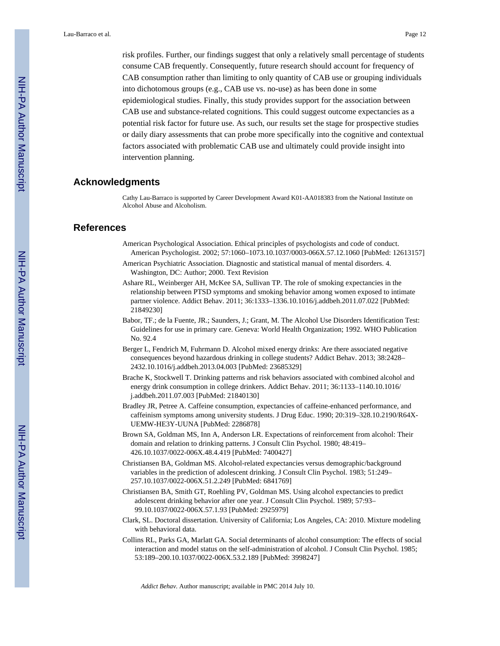risk profiles. Further, our findings suggest that only a relatively small percentage of students consume CAB frequently. Consequently, future research should account for frequency of CAB consumption rather than limiting to only quantity of CAB use or grouping individuals into dichotomous groups (e.g., CAB use vs. no-use) as has been done in some epidemiological studies. Finally, this study provides support for the association between CAB use and substance-related cognitions. This could suggest outcome expectancies as a potential risk factor for future use. As such, our results set the stage for prospective studies or daily diary assessments that can probe more specifically into the cognitive and contextual factors associated with problematic CAB use and ultimately could provide insight into intervention planning.

#### **Acknowledgments**

Cathy Lau-Barraco is supported by Career Development Award K01-AA018383 from the National Institute on Alcohol Abuse and Alcoholism.

#### **References**

- American Psychological Association. Ethical principles of psychologists and code of conduct. American Psychologist. 2002; 57:1060–1073.10.1037/0003-066X.57.12.1060 [PubMed: 12613157]
- American Psychiatric Association. Diagnostic and statistical manual of mental disorders. 4. Washington, DC: Author; 2000. Text Revision
- Ashare RL, Weinberger AH, McKee SA, Sullivan TP. The role of smoking expectancies in the relationship between PTSD symptoms and smoking behavior among women exposed to intimate partner violence. Addict Behav. 2011; 36:1333–1336.10.1016/j.addbeh.2011.07.022 [PubMed: 21849230]
- Babor, TF.; de la Fuente, JR.; Saunders, J.; Grant, M. The Alcohol Use Disorders Identification Test: Guidelines for use in primary care. Geneva: World Health Organization; 1992. WHO Publication No. 92.4
- Berger L, Fendrich M, Fuhrmann D. Alcohol mixed energy drinks: Are there associated negative consequences beyond hazardous drinking in college students? Addict Behav. 2013; 38:2428– 2432.10.1016/j.addbeh.2013.04.003 [PubMed: 23685329]
- Brache K, Stockwell T. Drinking patterns and risk behaviors associated with combined alcohol and energy drink consumption in college drinkers. Addict Behav. 2011; 36:1133–1140.10.1016/ j.addbeh.2011.07.003 [PubMed: 21840130]
- Bradley JR, Petree A. Caffeine consumption, expectancies of caffeine-enhanced performance, and caffeinism symptoms among university students. J Drug Educ. 1990; 20:319–328.10.2190/R64X-UEMW-HE3Y-UUNA [PubMed: 2286878]
- Brown SA, Goldman MS, Inn A, Anderson LR. Expectations of reinforcement from alcohol: Their domain and relation to drinking patterns. J Consult Clin Psychol. 1980; 48:419– 426.10.1037/0022-006X.48.4.419 [PubMed: 7400427]
- Christiansen BA, Goldman MS. Alcohol-related expectancies versus demographic/background variables in the prediction of adolescent drinking. J Consult Clin Psychol. 1983; 51:249– 257.10.1037/0022-006X.51.2.249 [PubMed: 6841769]
- Christiansen BA, Smith GT, Roehling PV, Goldman MS. Using alcohol expectancies to predict adolescent drinking behavior after one year. J Consult Clin Psychol. 1989; 57:93– 99.10.1037/0022-006X.57.1.93 [PubMed: 2925979]
- Clark, SL. Doctoral dissertation. University of California; Los Angeles, CA: 2010. Mixture modeling with behavioral data.
- Collins RL, Parks GA, Marlatt GA. Social determinants of alcohol consumption: The effects of social interaction and model status on the self-administration of alcohol. J Consult Clin Psychol. 1985; 53:189–200.10.1037/0022-006X.53.2.189 [PubMed: 3998247]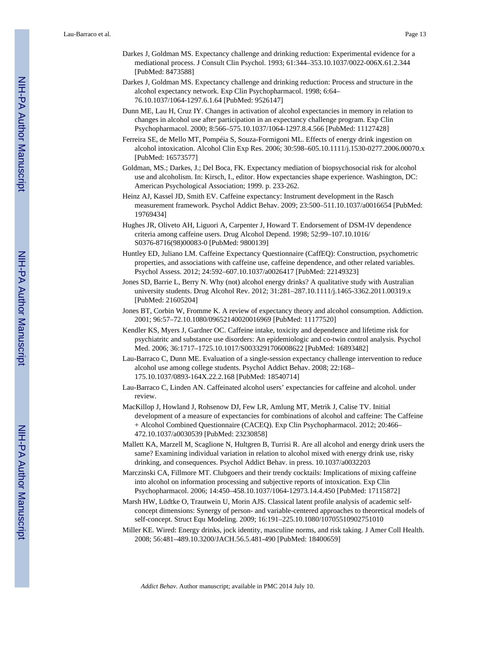- Darkes J, Goldman MS. Expectancy challenge and drinking reduction: Experimental evidence for a mediational process. J Consult Clin Psychol. 1993; 61:344–353.10.1037/0022-006X.61.2.344 [PubMed: 8473588]
- Darkes J, Goldman MS. Expectancy challenge and drinking reduction: Process and structure in the alcohol expectancy network. Exp Clin Psychopharmacol. 1998; 6:64– 76.10.1037/1064-1297.6.1.64 [PubMed: 9526147]
- Dunn ME, Lau H, Cruz IY. Changes in activation of alcohol expectancies in memory in relation to changes in alcohol use after participation in an expectancy challenge program. Exp Clin Psychopharmacol. 2000; 8:566–575.10.1037/1064-1297.8.4.566 [PubMed: 11127428]
- Ferreira SE, de Mello MT, Pompéia S, Souza-Formigoni ML. Effects of energy drink ingestion on alcohol intoxication. Alcohol Clin Exp Res. 2006; 30:598–605.10.1111/j.1530-0277.2006.00070.x [PubMed: 16573577]
- Goldman, MS.; Darkes, J.; Del Boca, FK. Expectancy mediation of biopsychosocial risk for alcohol use and alcoholism. In: Kirsch, I., editor. How expectancies shape experience. Washington, DC: American Psychological Association; 1999. p. 233-262.
- Heinz AJ, Kassel JD, Smith EV. Caffeine expectancy: Instrument development in the Rasch measurement framework. Psychol Addict Behav. 2009; 23:500–511.10.1037/a0016654 [PubMed: 19769434]
- Hughes JR, Oliveto AH, Liguori A, Carpenter J, Howard T. Endorsement of DSM-IV dependence criteria among caffeine users. Drug Alcohol Depend. 1998; 52:99–107.10.1016/ S0376-8716(98)00083-0 [PubMed: 9800139]
- Huntley ED, Juliano LM. Caffeine Expectancy Questionnaire (CaffEQ): Construction, psychometric properties, and associations with caffeine use, caffeine dependence, and other related variables. Psychol Assess. 2012; 24:592–607.10.1037/a0026417 [PubMed: 22149323]
- Jones SD, Barrie L, Berry N. Why (not) alcohol energy drinks? A qualitative study with Australian university students. Drug Alcohol Rev. 2012; 31:281–287.10.1111/j.1465-3362.2011.00319.x [PubMed: 21605204]
- Jones BT, Corbin W, Fromme K. A review of expectancy theory and alcohol consumption. Addiction. 2001; 96:57–72.10.1080/09652140020016969 [PubMed: 11177520]
- Kendler KS, Myers J, Gardner OC. Caffeine intake, toxicity and dependence and lifetime risk for psychiatritc and substance use disorders: An epidemiologic and co-twin control analysis. Psychol Med. 2006; 36:1717–1725.10.1017/S0033291706008622 [PubMed: 16893482]
- Lau-Barraco C, Dunn ME. Evaluation of a single-session expectancy challenge intervention to reduce alcohol use among college students. Psychol Addict Behav. 2008; 22:168– 175.10.1037/0893-164X.22.2.168 [PubMed: 18540714]
- Lau-Barraco C, Linden AN. Caffeinated alcohol users' expectancies for caffeine and alcohol. under review.
- MacKillop J, Howland J, Rohsenow DJ, Few LR, Amlung MT, Metrik J, Calise TV. Initial development of a measure of expectancies for combinations of alcohol and caffeine: The Caffeine + Alcohol Combined Questionnaire (CACEQ). Exp Clin Psychopharmacol. 2012; 20:466– 472.10.1037/a0030539 [PubMed: 23230858]
- Mallett KA, Marzell M, Scaglione N, Hultgren B, Turrisi R. Are all alcohol and energy drink users the same? Examining individual variation in relation to alcohol mixed with energy drink use, risky drinking, and consequences. Psychol Addict Behav. in press. 10.1037/a0032203
- Marczinski CA, Fillmore MT. Clubgoers and their trendy cocktails: Implications of mixing caffeine into alcohol on information processing and subjective reports of intoxication. Exp Clin Psychopharmacol. 2006; 14:450–458.10.1037/1064-12973.14.4.450 [PubMed: 17115872]
- Marsh HW, Lüdtke O, Trautwein U, Morin AJS. Classical latent profile analysis of academic selfconcept dimensions: Synergy of person- and variable-centered approaches to theoretical models of self-concept. Struct Equ Modeling. 2009; 16:191–225.10.1080/10705510902751010
- Miller KE. Wired: Energy drinks, jock identity, masculine norms, and risk taking. J Amer Coll Health. 2008; 56:481–489.10.3200/JACH.56.5.481-490 [PubMed: 18400659]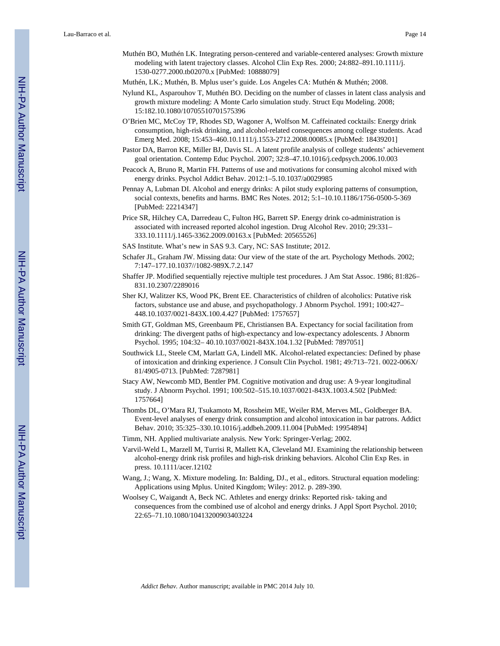- Muthén BO, Muthén LK. Integrating person-centered and variable-centered analyses: Growth mixture modeling with latent trajectory classes. Alcohol Clin Exp Res. 2000; 24:882–891.10.1111/j. 1530-0277.2000.tb02070.x [PubMed: 10888079]
- Muthén, LK.; Muthén, B. Mplus user's guide. Los Angeles CA: Muthén & Muthén; 2008.
- Nylund KL, Asparouhov T, Muthén BO. Deciding on the number of classes in latent class analysis and growth mixture modeling: A Monte Carlo simulation study. Struct Equ Modeling. 2008; 15:182.10.1080/10705510701575396
- O'Brien MC, McCoy TP, Rhodes SD, Wagoner A, Wolfson M. Caffeinated cocktails: Energy drink consumption, high-risk drinking, and alcohol-related consequences among college students. Acad Emerg Med. 2008; 15:453–460.10.1111/j.1553-2712.2008.00085.x [PubMed: 18439201]
- Pastor DA, Barron KE, Miller BJ, Davis SL. A latent profile analysis of college students' achievement goal orientation. Contemp Educ Psychol. 2007; 32:8–47.10.1016/j.cedpsych.2006.10.003
- Peacock A, Bruno R, Martin FH. Patterns of use and motivations for consuming alcohol mixed with energy drinks. Psychol Addict Behav. 2012:1–5.10.1037/a0029985
- Pennay A, Lubman DI. Alcohol and energy drinks: A pilot study exploring patterns of consumption, social contexts, benefits and harms. BMC Res Notes. 2012; 5:1–10.10.1186/1756-0500-5-369 [PubMed: 22214347]
- Price SR, Hilchey CA, Darredeau C, Fulton HG, Barrett SP. Energy drink co-administration is associated with increased reported alcohol ingestion. Drug Alcohol Rev. 2010; 29:331– 333.10.1111/j.1465-3362.2009.00163.x [PubMed: 20565526]
- SAS Institute. What's new in SAS 9.3. Cary, NC: SAS Institute; 2012.
- Schafer JL, Graham JW. Missing data: Our view of the state of the art. Psychology Methods. 2002; 7:147–177.10.1037//1082-989X.7.2.147
- Shaffer JP. Modified sequentially rejective multiple test procedures. J Am Stat Assoc. 1986; 81:826– 831.10.2307/2289016
- Sher KJ, Walitzer KS, Wood PK, Brent EE. Characteristics of children of alcoholics: Putative risk factors, substance use and abuse, and psychopathology. J Abnorm Psychol. 1991; 100:427– 448.10.1037/0021-843X.100.4.427 [PubMed: 1757657]
- Smith GT, Goldman MS, Greenbaum PE, Christiansen BA. Expectancy for social facilitation from drinking: The divergent paths of high-expectancy and low-expectancy adolescents. J Abnorm Psychol. 1995; 104:32– 40.10.1037/0021-843X.104.1.32 [PubMed: 7897051]
- Southwick LL, Steele CM, Marlatt GA, Lindell MK. Alcohol-related expectancies: Defined by phase of intoxication and drinking experience. J Consult Clin Psychol. 1981; 49:713–721. 0022-006X/ 81/4905-0713. [PubMed: 7287981]
- Stacy AW, Newcomb MD, Bentler PM. Cognitive motivation and drug use: A 9-year longitudinal study. J Abnorm Psychol. 1991; 100:502–515.10.1037/0021-843X.1003.4.502 [PubMed: 1757664]
- Thombs DL, O'Mara RJ, Tsukamoto M, Rossheim ME, Weiler RM, Merves ML, Goldberger BA. Event-level analyses of energy drink consumption and alcohol intoxication in bar patrons. Addict Behav. 2010; 35:325–330.10.1016/j.addbeh.2009.11.004 [PubMed: 19954894]
- Timm, NH. Applied multivariate analysis. New York: Springer-Verlag; 2002.
- Varvil-Weld L, Marzell M, Turrisi R, Mallett KA, Cleveland MJ. Examining the relationship between alcohol-energy drink risk profiles and high-risk drinking behaviors. Alcohol Clin Exp Res. in press. 10.1111/acer.12102
- Wang, J.; Wang, X. Mixture modeling. In: Balding, DJ., et al., editors. Structural equation modeling: Applications using Mplus. United Kingdom; Wiley: 2012. p. 289-390.
- Woolsey C, Waigandt A, Beck NC. Athletes and energy drinks: Reported risk- taking and consequences from the combined use of alcohol and energy drinks. J Appl Sport Psychol. 2010; 22:65–71.10.1080/10413200903403224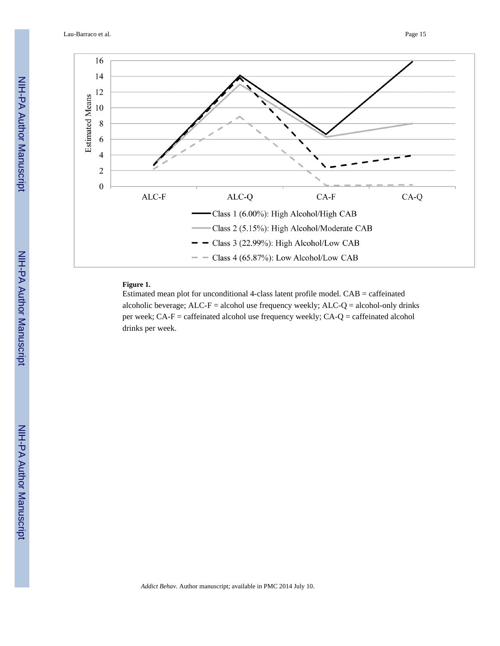Lau-Barraco et al. Page 15



#### **Figure 1.**

Estimated mean plot for unconditional 4-class latent profile model. CAB = caffeinated alcoholic beverage;  $ALC-F =$  alcohol use frequency weekly;  $ALC-Q =$  alcohol-only drinks per week; CA-F = caffeinated alcohol use frequency weekly; CA-Q = caffeinated alcohol drinks per week.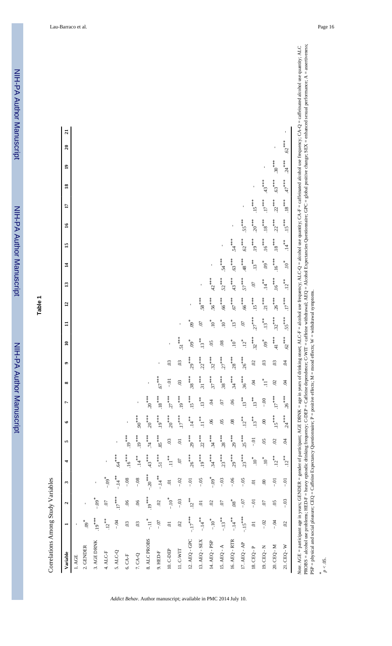| Correlations Among Study Variables                                                                                                            |                                        |                  |                      |                       |                 |                  |                    |                     |                |                     |                 |                |             |              |          |               |                |                 |              |                                    |                                                                                                                                                                                                                                                                                                                                                                                          |
|-----------------------------------------------------------------------------------------------------------------------------------------------|----------------------------------------|------------------|----------------------|-----------------------|-----------------|------------------|--------------------|---------------------|----------------|---------------------|-----------------|----------------|-------------|--------------|----------|---------------|----------------|-----------------|--------------|------------------------------------|------------------------------------------------------------------------------------------------------------------------------------------------------------------------------------------------------------------------------------------------------------------------------------------------------------------------------------------------------------------------------------------|
| Variable                                                                                                                                      | $\blacksquare$                         | $\mathbf{a}$     | S                    | 4                     | r.              | $\bullet$        | r                  | $\infty$            | $\bullet$      | $\mathbf{a}$        | $\Xi$           | $\overline{1}$ | 13          | 14           | 15       | $\frac{6}{1}$ | $\mathbf{L}$   | $\overline{18}$ | $\mathbf{a}$ | $\overline{a}$<br>$\boldsymbol{z}$ |                                                                                                                                                                                                                                                                                                                                                                                          |
| $1. AGE$                                                                                                                                      |                                        |                  |                      |                       |                 |                  |                    |                     |                |                     |                 |                |             |              |          |               |                |                 |              |                                    |                                                                                                                                                                                                                                                                                                                                                                                          |
| 2. GENDER                                                                                                                                     | $^{*}60$                               |                  |                      |                       |                 |                  |                    |                     |                |                     |                 |                |             |              |          |               |                |                 |              |                                    |                                                                                                                                                                                                                                                                                                                                                                                          |
| 3. AGE DRNK                                                                                                                                   | $19***$                                | $-0.9$           |                      |                       |                 |                  |                    |                     |                |                     |                 |                |             |              |          |               |                |                 |              |                                    |                                                                                                                                                                                                                                                                                                                                                                                          |
| 4. ALC-F                                                                                                                                      | $.12***$                               | .07              | $-0.9*$              | $\blacksquare$        |                 |                  |                    |                     |                |                     |                 |                |             |              |          |               |                |                 |              |                                    |                                                                                                                                                                                                                                                                                                                                                                                          |
| 5. ALC-Q                                                                                                                                      | $-0.4$                                 | $\cdot 17^{***}$ | $-.14**$             | $.64***$              |                 |                  |                    |                     |                |                     |                 |                |             |              |          |               |                |                 |              |                                    |                                                                                                                                                                                                                                                                                                                                                                                          |
| 6. CA-F                                                                                                                                       | $\overline{0}$                         | $\overline{90}$  | $-0.8$               | $16***$               | $19***$         |                  |                    |                     |                |                     |                 |                |             |              |          |               |                |                 |              |                                    |                                                                                                                                                                                                                                                                                                                                                                                          |
| $7. CA-O$                                                                                                                                     | $\overline{0}$                         | $\overline{90}$  | $-0.8$               | $.14$ <sup>**</sup>   | $19^{***}$      | $***$            | $\mathbf{I}$       |                     |                |                     |                 |                |             |              |          |               |                |                 |              |                                    |                                                                                                                                                                                                                                                                                                                                                                                          |
| 8. ALC PROBS                                                                                                                                  | $\begin{array}{c} * \\ -1 \end{array}$ | $19***$          | $-20$ <sup>***</sup> | $43***$               | $74***$         | $20^{***}$       | $20^{***}$         |                     |                |                     |                 |                |             |              |          |               |                |                 |              |                                    |                                                                                                                                                                                                                                                                                                                                                                                          |
| 9. HED-F                                                                                                                                      | $-0.7$                                 | $\overline{0}$   | $-14**$              | $51***$               | $85***$         | $19***$          | $\cdot^{18^{***}}$ | $-67***$            | $\mathbf{I}$   |                     |                 |                |             |              |          |               |                |                 |              |                                    |                                                                                                                                                                                                                                                                                                                                                                                          |
| 10. C-DEP                                                                                                                                     | $\overline{c}$                         | $-10^{*}$        | $\overline{c}$       | $\cdot$ <sup>**</sup> | $\overline{c}$  | $20***$          | $27***$            | $-0.1$              | $\overline{0}$ |                     |                 |                |             |              |          |               |                |                 |              |                                    |                                                                                                                                                                                                                                                                                                                                                                                          |
| 11. C-WIT                                                                                                                                     | 02                                     | $-0.3$           | $-02$                | <b>CO</b> .           | $\Xi$           | $\cdot 17^{***}$ | $19***$            | $\ddot{\mathrm{0}}$ | 03             | $.51***$            |                 |                |             |              |          |               |                |                 |              |                                    |                                                                                                                                                                                                                                                                                                                                                                                          |
| 12. AEQ - GPC                                                                                                                                 | $-.17***$                              | $.12***$         | $-0$                 | $26***$               | $.29***$        | $.14***$         | $15***$            | $.38***$            | $29***$        | $*$ 60.             | $*$ 60.         |                |             |              |          |               |                |                 |              |                                    |                                                                                                                                                                                                                                                                                                                                                                                          |
| 13. AEQ - SEX                                                                                                                                 | $-.14**$                               | $\Xi$            | $-0.5$               | $19***$               | $22***$         | $\cdot11^{**}$   | $.13***$           | $31***$             | $22^{***}$     | $.13***$            | $\overline{0}$  | $.58***$       |             |              |          |               |                |                 |              |                                    |                                                                                                                                                                                                                                                                                                                                                                                          |
| 14. AEQ - PSP                                                                                                                                 | $-10^{*}$                              | 02               | $-0.09$ <sup>*</sup> | $34***$               | $34***$         | $\overline{6}$   | S.                 | $37***$             | $32***$        | $\ddot{\mathrm{c}}$ | $\mathbf{10}^*$ | $.56***$       | $42***$     | ı            |          |               |                |                 |              |                                    |                                                                                                                                                                                                                                                                                                                                                                                          |
| 15. AEQ - A                                                                                                                                   | $-13**$                                | $\ddot{o}$       | $-0.3$               | $23***$               | $.28***$        | $\overline{50}$  | $\ddot{o}$         | $.38***$            | $27***$        | 08                  | $10^*$          | $.66***$       | $52***$     | $54***$      |          |               |                |                 |              |                                    |                                                                                                                                                                                                                                                                                                                                                                                          |
| 16. AEQ - RTR                                                                                                                                 | $-14**$                                | $.08*$           | $-0.6$               | $29***$               | $29***$         | 08               | 06                 | $.34***$            | $28***$        | $10^*$              | $13^*$          | $-67***$       | $43***$     | $.63***$     | $54***$  | ı             |                |                 |              |                                    |                                                                                                                                                                                                                                                                                                                                                                                          |
| 17. AEQ - AP                                                                                                                                  | $-.15***$                              | $-0$             | $-0.5$               | $23***$               | $25***$         | $12^{**}$        | $.13***$           | $36***$             | $26***$        | $.12$ <sup>*</sup>  | $\overline{0}$  | $566***$       | $57***$     | $48***$      | $.62***$ | $.55***$      | $\blacksquare$ |                 |              |                                    |                                                                                                                                                                                                                                                                                                                                                                                          |
| 18. CEQ - P                                                                                                                                   | C.                                     | $-0$             | $\ddot{\circ}$       | $10^*$                | ່ວີ             | $.13***$         | $.13***$           | $\ddot{q}$          | $\mathfrak{S}$ | $.32***$            | $27***$         | $15***$        | <b>CO</b> . | $.13***$     | $19***$  | $20^{***}$    | $15***$        |                 |              |                                    |                                                                                                                                                                                                                                                                                                                                                                                          |
| 19. CEQ-N                                                                                                                                     | $-0.2$                                 | $\overline{C}$   | $\infty$             | $\cdot^{10}$          | $\overline{50}$ | $\mathcal{O}$    | $-0.0$             | $\mathbf{H}^*$      | $\overline{0}$ | $^{*}60$            | $.13***$        | $21***$        | $.14***$    | $^{*}60$     | $16***$  | $18^{***}$    | $17***$        | $43***$         | f,           |                                    |                                                                                                                                                                                                                                                                                                                                                                                          |
| 20. CEQ - M                                                                                                                                   | $-0.4$                                 | $\overline{50}$  | $-5$                 | $.12***$              | $\overline{0}$  | $15***$          | $17***$            | $\overline{0}$      | $\overline{0}$ | $41***$             | $.32***$        | $.26***$       | $16***$     | $16***$      | $18***$  | $.22***$      | $.22***$       | $.63***$        | $.30***$     | ı                                  |                                                                                                                                                                                                                                                                                                                                                                                          |
| 21. CEQ - W                                                                                                                                   | $\overline{0}$                         | $-0.3$           | $-0.1$               | $12^{**}$             | $\ddot{q}$      | $24***$          | $.26***$           | $\ddot{q}$          | $\ddot{q}$     | $.62***$            | $.55***$        | $17***$        | $.12***$    | $\cdot^{10}$ | $.14***$ | $15***$       | $18***$        | $47***$         | $24***$      | $\mathbf{I}$<br>$.62***$           |                                                                                                                                                                                                                                                                                                                                                                                          |
| Note. AGE = participant age in years; GENDER = gender of participant; AGE DRNK = age in years of drinking onset; ALC-F                        |                                        |                  |                      |                       |                 |                  |                    |                     |                |                     |                 |                |             |              |          |               |                |                 |              |                                    | $PROB3 = alcohol$ use problems; HED-F = heavy episodic drinking frequency; C-DEP = Caffeine dependence; A= defieine dependence; C-WIT = caffeine withdrawal; AEQ = Alcohol Expectancies Questionnaire; GPC = global positive change; SE<br>= alcohol use frequency; ALC-Q = alcohol use quantity; CA-F = caffeinated alcohol use frequency; CA-Q = caffeinated alcohol use quantity; ALC |
| PSP = physical and social pleasure; CEQ = Caffeine Expectancy Questionnaire; P = positive effects; M = mood effects; W = withdrawal symptoms. |                                        |                  |                      |                       |                 |                  |                    |                     |                |                     |                 |                |             |              |          |               |                |                 |              |                                    |                                                                                                                                                                                                                                                                                                                                                                                          |

*Addict Behav*. Author manuscript; available in PMC 2014 July 10.

**Table 1**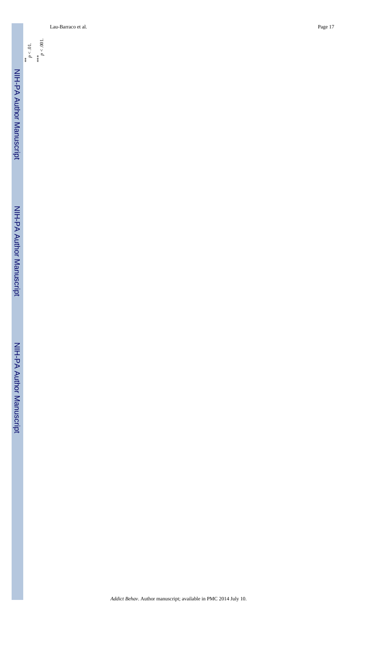NIH-PA Author Manuscript NIH-PA Author Manuscript

*\*\* p* < .01. *\*\*\**  $p < .001$  . Lau-Barraco et al. Page 17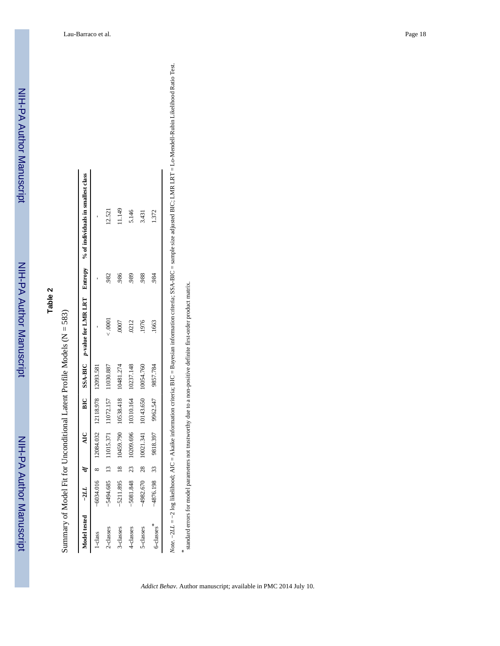NIH-PA Author Manuscript

NIH-PA Author Manuscript

NIH-PA Author Manuscript

NIH-PA Author Manuscript

| Model tested $-2LL$ df AIC |  |                            |                     |                     |       |     | BIC SSA-BIC p-value for LMR LRT Entropy % of individuals in smallest class |
|----------------------------|--|----------------------------|---------------------|---------------------|-------|-----|----------------------------------------------------------------------------|
| -class                     |  | $-6034.016$ 8 12084.032    | 12118.978 12093.581 |                     |       |     |                                                                            |
| 2-classes                  |  | $-5494.685$ 13 11015.371   | 1072.157            | 11030.887           | 000   | 982 | 12.521                                                                     |
| 3-classes                  |  | $-5211.895$ 18 10459.790   | 10538.418           | 10481.274           | 0007  | 986 | 1.149                                                                      |
| 4-classes                  |  | $-5081.848$ 23 10209.696   | 10310.164           | 10237.148           | 0212  | 989 | 5.146                                                                      |
| 5-classes                  |  | $-4982.670$ 28 $10021.341$ |                     | 10143.650 10054.760 | 1976  | 988 | 3.431                                                                      |
| 6-classes <sup>*</sup>     |  | $-4876.198$ 33 9818.397    |                     | 9962.547 9857.784   | .1663 | 984 | 1.372                                                                      |

*\**

standard errors for model parameters not trustworthy due to a non-positive definite first-order product matrix.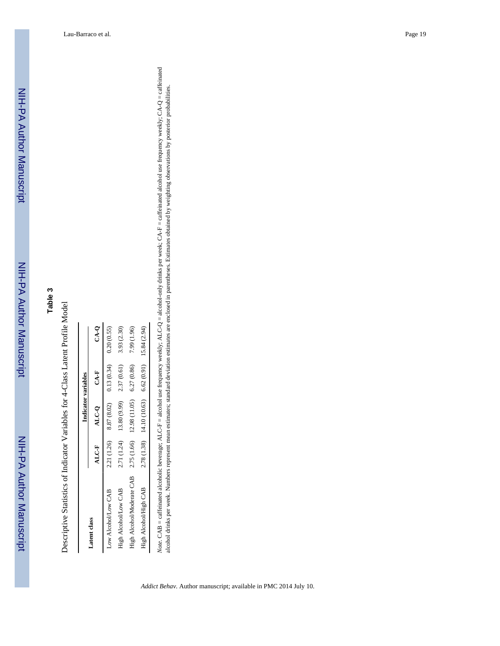# **Table 3**

Descriptive Statistics of Indicator Variables for 4-Class Latent Profile Model Descriptive Statistics of Indicator Variables for 4-Class Latent Profile Model

|                           |             | Indicator variables                                    |             |             |
|---------------------------|-------------|--------------------------------------------------------|-------------|-------------|
| Latent class              | ALC-F       | ALC-O                                                  | $CA-F$      | $C_A$ -O    |
| Low Alcohol/Low CAB       | 2.21 (1.26) | 8.87 (8.02)                                            | 0.13(0.34)  | 0.20(0.55)  |
| High Alcohol/Low CAB      | 2.71 (1.24) | 13.80 (9.99)                                           | 2.37 (0.61) | 3.93 (2.30) |
| High Alcohol/Moderate CAB | 2.75 (1.66) | 12.98 (11.05)                                          | 6.27 (0.86) | 7.99 (1.96) |
| High Alcohol/High CAB     |             | $2.78(1.38)$ $14.10(10.63)$ $6.62(0.91)$ $15.84(2.94)$ |             |             |

Note. CAB = caffeinated alcoholic beverage; ALC-F = alcohol use frequency weekly; ALC-Q = alcohol-only drinks per week; CA-F = caffeinated alcohol use frequency weekly; CA-Q = caffeinated *Note*. CAB = caffeinated alcoholic beverage; ALC-F = alcohol use frequency weekly; ALC-Q = alcohol-only drinks per week; CA-F = caffeinated alcohol use frequency weekly; CA-Q = caffeinated alcohol drinks per week. Numbers represent mean estimates; standard deviation estimates are enclosed in parentheses. Estimates obtained by weighting observations by posterior probabilities. alcohol drinks per week. Numbers represent mean estimates; standard deviation estimates are enclosed in parentheses. Estimates obtained by weighting observations by posterior probabilities.